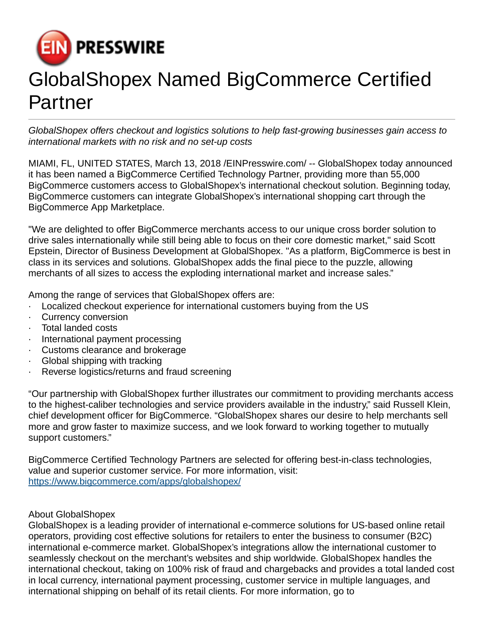

## GlobalShopex Named BigCommerce Certified Partner

GlobalShopex offers checkout and logistics solutions to help fast-growing businesses gain access to international markets with no risk and no set-up costs

MIAMI, FL, UNITED STATES, March 13, 2018 [/EINPresswire.com](http://www.einpresswire.com)/ -- GlobalShopex today announced it has been named a BigCommerce Certified Technology Partner, providing more than 55,000 BigCommerce customers access to GlobalShopex's international checkout solution. Beginning today, BigCommerce customers can integrate GlobalShopex's international shopping cart through the BigCommerce App Marketplace.

"We are delighted to offer BigCommerce merchants access to our unique cross border solution to drive sales internationally while still being able to focus on their core domestic market," said Scott Epstein, Director of Business Development at GlobalShopex. "As a platform, BigCommerce is best in class in its services and solutions. GlobalShopex adds the final piece to the puzzle, allowing merchants of all sizes to access the exploding international market and increase sales."

Among the range of services that GlobalShopex offers are:

- · Localized checkout experience for international customers buying from the US
- · Currency conversion
- · Total landed costs
- · International payment processing
- · Customs clearance and brokerage
- · Global shipping with tracking
- · Reverse logistics/returns and fraud screening

"Our partnership with GlobalShopex further illustrates our commitment to providing merchants access to the highest-caliber technologies and service providers available in the industry," said Russell Klein, chief development officer for BigCommerce. "GlobalShopex shares our desire to help merchants sell more and grow faster to maximize success, and we look forward to working together to mutually support customers."

BigCommerce Certified Technology Partners are selected for offering best-in-class technologies, value and superior customer service. For more information, visit: <https://www.bigcommerce.com/apps/globalshopex/>

## About GlobalShopex

GlobalShopex is a leading provider of international e-commerce solutions for US-based online retail operators, providing cost effective solutions for retailers to enter the business to consumer (B2C) international e-commerce market. GlobalShopex's integrations allow the international customer to seamlessly checkout on the merchant's websites and ship worldwide. GlobalShopex handles the international checkout, taking on 100% risk of fraud and chargebacks and provides a total landed cost in local currency, international payment processing, customer service in multiple languages, and international shipping on behalf of its retail clients. For more information, go to